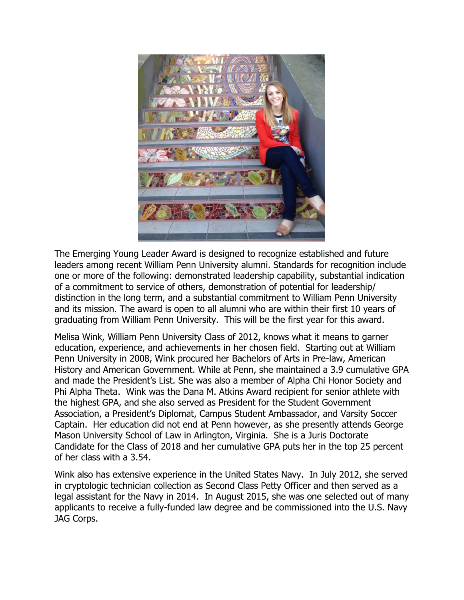

The Emerging Young Leader Award is designed to recognize established and future leaders among recent William Penn University alumni. Standards for recognition include one or more of the following: demonstrated leadership capability, substantial indication of a commitment to service of others, demonstration of potential for leadership/ distinction in the long term, and a substantial commitment to William Penn University and its mission. The award is open to all alumni who are within their first 10 years of graduating from William Penn University. This will be the first year for this award.

Melisa Wink, William Penn University Class of 2012, knows what it means to garner education, experience, and achievements in her chosen field. Starting out at William Penn University in 2008, Wink procured her Bachelors of Arts in Pre-law, American History and American Government. While at Penn, she maintained a 3.9 cumulative GPA and made the President's List. She was also a member of Alpha Chi Honor Society and Phi Alpha Theta. Wink was the Dana M. Atkins Award recipient for senior athlete with the highest GPA, and she also served as President for the Student Government Association, a President's Diplomat, Campus Student Ambassador, and Varsity Soccer Captain. Her education did not end at Penn however, as she presently attends George Mason University School of Law in Arlington, Virginia. She is a Juris Doctorate Candidate for the Class of 2018 and her cumulative GPA puts her in the top 25 percent of her class with a 3.54.

Wink also has extensive experience in the United States Navy. In July 2012, she served in cryptologic technician collection as Second Class Petty Officer and then served as a legal assistant for the Navy in 2014. In August 2015, she was one selected out of many applicants to receive a fully-funded law degree and be commissioned into the U.S. Navy JAG Corps.